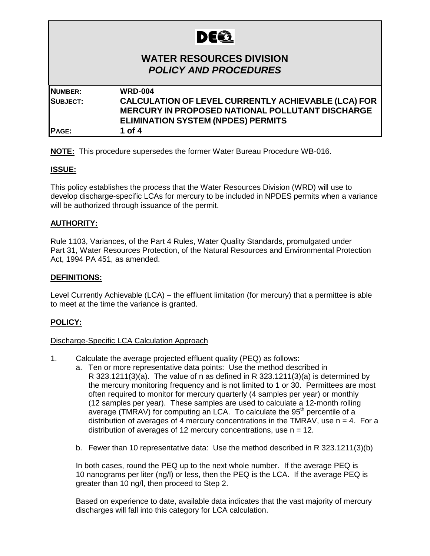# **DEE**

# **WATER RESOURCES DIVISION** *POLICY AND PROCEDURES*

| <b>WRD-004</b>                                                                                                        |
|-----------------------------------------------------------------------------------------------------------------------|
| <b>CALCULATION OF LEVEL CURRENTLY ACHIEVABLE (LCA) FOR</b><br><b>MERCURY IN PROPOSED NATIONAL POLLUTANT DISCHARGE</b> |
| <b>ELIMINATION SYSTEM (NPDES) PERMITS</b>                                                                             |
| 1 of 4                                                                                                                |
|                                                                                                                       |

**NOTE:** This procedure supersedes the former Water Bureau Procedure WB-016.

# **ISSUE:**

This policy establishes the process that the Water Resources Division (WRD) will use to develop discharge-specific LCAs for mercury to be included in NPDES permits when a variance will be authorized through issuance of the permit.

# **AUTHORITY:**

Rule 1103, Variances, of the Part 4 Rules, Water Quality Standards, promulgated under Part 31, Water Resources Protection, of the Natural Resources and Environmental Protection Act, 1994 PA 451, as amended.

# **DEFINITIONS:**

Level Currently Achievable (LCA) – the effluent limitation (for mercury) that a permittee is able to meet at the time the variance is granted.

# **POLICY:**

#### Discharge-Specific LCA Calculation Approach

- 1. Calculate the average projected effluent quality (PEQ) as follows:
	- a. Ten or more representative data points: Use the method described in R 323.1211(3)(a). The value of n as defined in R 323.1211(3)(a) is determined by the mercury monitoring frequency and is not limited to 1 or 30. Permittees are most often required to monitor for mercury quarterly (4 samples per year) or monthly (12 samples per year). These samples are used to calculate a 12-month rolling average (TMRAV) for computing an LCA. To calculate the 95<sup>th</sup> percentile of a distribution of averages of 4 mercury concentrations in the TMRAV, use  $n = 4$ . For a distribution of averages of 12 mercury concentrations, use  $n = 12$ .
	- b. Fewer than 10 representative data: Use the method described in R 323.1211(3)(b)

In both cases, round the PEQ up to the next whole number. If the average PEQ is 10 nanograms per liter (ng/l) or less, then the PEQ is the LCA. If the average PEQ is greater than 10 ng/l, then proceed to Step 2.

Based on experience to date, available data indicates that the vast majority of mercury discharges will fall into this category for LCA calculation.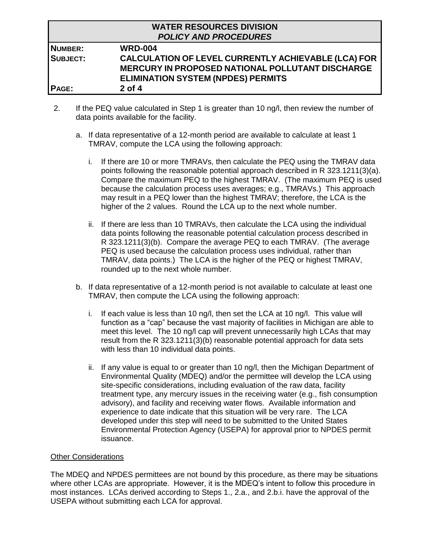|                 | <b>WATER RESOURCES DIVISION</b><br><b>POLICY AND PROCEDURES</b> |
|-----------------|-----------------------------------------------------------------|
| <b>NUMBER:</b>  | <b>WRD-004</b>                                                  |
| <b>SUBJECT:</b> | <b>CALCULATION OF LEVEL CURRENTLY ACHIEVABLE (LCA) FOR</b>      |
|                 | MERCURY IN PROPOSED NATIONAL POLLUTANT DISCHARGE                |
|                 | <b>ELIMINATION SYSTEM (NPDES) PERMITS</b>                       |
| PAGE:           | $2$ of 4                                                        |

- 2. If the PEQ value calculated in Step 1 is greater than 10 ng/l, then review the number of data points available for the facility.
	- a. If data representative of a 12-month period are available to calculate at least 1 TMRAV, compute the LCA using the following approach:
		- i. If there are 10 or more TMRAVs, then calculate the PEQ using the TMRAV data points following the reasonable potential approach described in R 323.1211(3)(a). Compare the maximum PEQ to the highest TMRAV. (The maximum PEQ is used because the calculation process uses averages; e.g., TMRAVs.) This approach may result in a PEQ lower than the highest TMRAV; therefore, the LCA is the higher of the 2 values. Round the LCA up to the next whole number.
		- ii. If there are less than 10 TMRAVs, then calculate the LCA using the individual data points following the reasonable potential calculation process described in R 323.1211(3)(b). Compare the average PEQ to each TMRAV. (The average PEQ is used because the calculation process uses individual, rather than TMRAV, data points.) The LCA is the higher of the PEQ or highest TMRAV, rounded up to the next whole number.
	- b. If data representative of a 12-month period is not available to calculate at least one TMRAV, then compute the LCA using the following approach:
		- i. If each value is less than 10 ng/l, then set the LCA at 10 ng/l. This value will function as a "cap" because the vast majority of facilities in Michigan are able to meet this level. The 10 ng/l cap will prevent unnecessarily high LCAs that may result from the R 323.1211(3)(b) reasonable potential approach for data sets with less than 10 individual data points.
		- ii. If any value is equal to or greater than 10 ng/l, then the Michigan Department of Environmental Quality (MDEQ) and/or the permittee will develop the LCA using site-specific considerations, including evaluation of the raw data, facility treatment type, any mercury issues in the receiving water (e.g., fish consumption advisory), and facility and receiving water flows. Available information and experience to date indicate that this situation will be very rare. The LCA developed under this step will need to be submitted to the United States Environmental Protection Agency (USEPA) for approval prior to NPDES permit issuance.

# Other Considerations

The MDEQ and NPDES permittees are not bound by this procedure, as there may be situations where other LCAs are appropriate. However, it is the MDEQ's intent to follow this procedure in most instances. LCAs derived according to Steps 1., 2.a., and 2.b.i. have the approval of the USEPA without submitting each LCA for approval.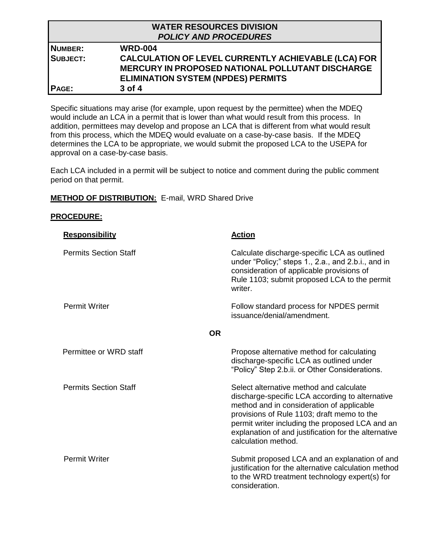|                 | <b>WATER RESOURCES DIVISION</b>                            |
|-----------------|------------------------------------------------------------|
|                 | <b>POLICY AND PROCEDURES</b>                               |
| NUMBER:         | <b>WRD-004</b>                                             |
| <b>SUBJECT:</b> | <b>CALCULATION OF LEVEL CURRENTLY ACHIEVABLE (LCA) FOR</b> |
|                 | MERCURY IN PROPOSED NATIONAL POLLUTANT DISCHARGE           |
|                 | <b>ELIMINATION SYSTEM (NPDES) PERMITS</b>                  |
| <b>PAGE:</b>    | 3 of 4                                                     |

Specific situations may arise (for example, upon request by the permittee) when the MDEQ would include an LCA in a permit that is lower than what would result from this process. In addition, permittees may develop and propose an LCA that is different from what would result from this process, which the MDEQ would evaluate on a case-by-case basis. If the MDEQ determines the LCA to be appropriate, we would submit the proposed LCA to the USEPA for approval on a case-by-case basis.

Each LCA included in a permit will be subject to notice and comment during the public comment period on that permit.

# **METHOD OF DISTRIBUTION:** E-mail, WRD Shared Drive

#### **PROCEDURE:**

| <b>Responsibility</b>        | <b>Action</b>                                                                                                                                                                                                                                                                                                           |
|------------------------------|-------------------------------------------------------------------------------------------------------------------------------------------------------------------------------------------------------------------------------------------------------------------------------------------------------------------------|
| <b>Permits Section Staff</b> | Calculate discharge-specific LCA as outlined<br>under "Policy;" steps 1., 2.a., and 2.b.i., and in<br>consideration of applicable provisions of<br>Rule 1103; submit proposed LCA to the permit<br>writer.                                                                                                              |
| <b>Permit Writer</b>         | Follow standard process for NPDES permit<br>issuance/denial/amendment.                                                                                                                                                                                                                                                  |
| <b>OR</b>                    |                                                                                                                                                                                                                                                                                                                         |
| Permittee or WRD staff       | Propose alternative method for calculating<br>discharge-specific LCA as outlined under<br>"Policy" Step 2.b.ii. or Other Considerations.                                                                                                                                                                                |
| <b>Permits Section Staff</b> | Select alternative method and calculate<br>discharge-specific LCA according to alternative<br>method and in consideration of applicable<br>provisions of Rule 1103; draft memo to the<br>permit writer including the proposed LCA and an<br>explanation of and justification for the alternative<br>calculation method. |
| <b>Permit Writer</b>         | Submit proposed LCA and an explanation of and<br>justification for the alternative calculation method<br>to the WRD treatment technology expert(s) for<br>consideration.                                                                                                                                                |